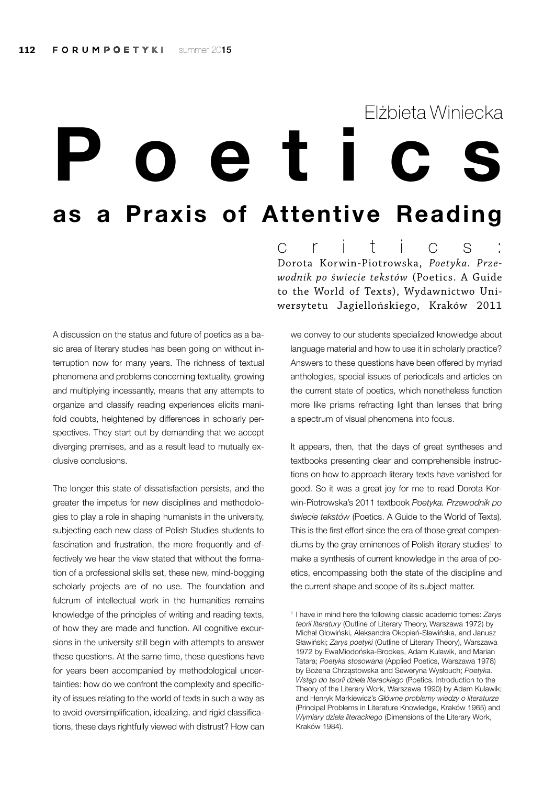## Poetics as a Praxis of Attentive Reading Elżbieta Winiecka

A discussion on the status and future of poetics as a basic area of literary studies has been going on without interruption now for many years. The richness of textual phenomena and problems concerning textuality, growing and multiplying incessantly, means that any attempts to organize and classify reading experiences elicits manifold doubts, heightened by differences in scholarly perspectives. They start out by demanding that we accept diverging premises, and as a result lead to mutually exclusive conclusions.

The longer this state of dissatisfaction persists, and the greater the impetus for new disciplines and methodologies to play a role in shaping humanists in the university, subjecting each new class of Polish Studies students to fascination and frustration, the more frequently and effectively we hear the view stated that without the formation of a professional skills set, these new, mind-bogging scholarly projects are of no use. The foundation and fulcrum of intellectual work in the humanities remains knowledge of the principles of writing and reading texts, of how they are made and function. All cognitive excursions in the university still begin with attempts to answer these questions. At the same time, these questions have for years been accompanied by methodological uncertainties: how do we confront the complexity and specificity of issues relating to the world of texts in such a way as to avoid oversimplification, idealizing, and rigid classifications, these days rightfully viewed with distrust? How can c r i t i c s : Dorota Korwin-Piotrowska, *Poetyka. Przewodnik po świecie tekstów* (Poetics. A Guide to the World of Texts), Wydawnictwo Uniwersytetu Jagiellońskiego, Kraków 2011

we convey to our students specialized knowledge about language material and how to use it in scholarly practice? Answers to these questions have been offered by myriad anthologies, special issues of periodicals and articles on the current state of poetics, which nonetheless function more like prisms refracting light than lenses that bring a spectrum of visual phenomena into focus.

It appears, then, that the days of great syntheses and textbooks presenting clear and comprehensible instructions on how to approach literary texts have vanished for good. So it was a great joy for me to read Dorota Korwin-Piotrowska's 2011 textbook *Poetyka. Przewodnik po świecie tekstów* (Poetics. A Guide to the World of Texts). This is the first effort since the era of those great compendiums by the gray eminences of Polish literary studies<sup>1</sup> to make a synthesis of current knowledge in the area of poetics, encompassing both the state of the discipline and the current shape and scope of its subject matter.

<sup>1</sup> I have in mind here the following classic academic tomes: *Zarys teorii literatury* (Outline of Literary Theory, Warszawa 1972) by Michał Głowiński, Aleksandra Okopień-Sławińska, and Janusz Sławiński; *Zarys poetyki* (Outline of Literary Theory), Warszawa 1972 by EwaMiodońska-Brookes, Adam Kulawik, and Marian Tatara; *Poetyka stosowana* (Applied Poetics, Warszawa 1978) by Bożena Chrząstowska and Seweryna Wysłouch; *Poetyka. Wstęp do teorii dzieła literackiego* (Poetics. Introduction to the Theory of the Literary Work, Warszawa 1990) by Adam Kulawik; and Henryk Markiewicz's *Główne problemy wiedzy o literaturze* (Principal Problems in Literature Knowledge, Kraków 1965) and *Wymiary dzieła literackiego* (Dimensions of the Literary Work, Kraków 1984).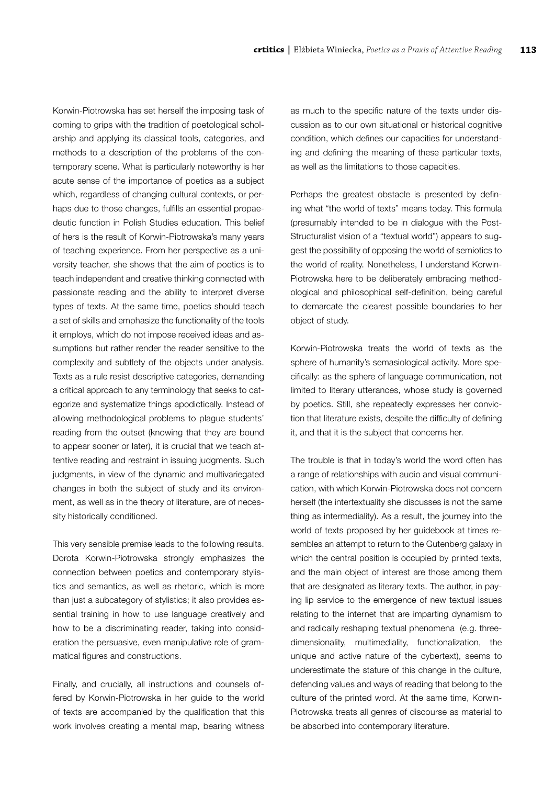Korwin-Piotrowska has set herself the imposing task of coming to grips with the tradition of poetological scholarship and applying its classical tools, categories, and methods to a description of the problems of the contemporary scene. What is particularly noteworthy is her acute sense of the importance of poetics as a subject which, regardless of changing cultural contexts, or perhaps due to those changes, fulfills an essential propaedeutic function in Polish Studies education. This belief of hers is the result of Korwin-Piotrowska's many years of teaching experience. From her perspective as a university teacher, she shows that the aim of poetics is to teach independent and creative thinking connected with passionate reading and the ability to interpret diverse types of texts. At the same time, poetics should teach a set of skills and emphasize the functionality of the tools it employs, which do not impose received ideas and assumptions but rather render the reader sensitive to the complexity and subtlety of the objects under analysis. Texts as a rule resist descriptive categories, demanding a critical approach to any terminology that seeks to categorize and systematize things apodictically. Instead of allowing methodological problems to plague students' reading from the outset (knowing that they are bound to appear sooner or later), it is crucial that we teach attentive reading and restraint in issuing judgments. Such judgments, in view of the dynamic and multivariegated changes in both the subject of study and its environment, as well as in the theory of literature, are of necessity historically conditioned.

This very sensible premise leads to the following results. Dorota Korwin-Piotrowska strongly emphasizes the connection between poetics and contemporary stylistics and semantics, as well as rhetoric, which is more than just a subcategory of stylistics; it also provides essential training in how to use language creatively and how to be a discriminating reader, taking into consideration the persuasive, even manipulative role of grammatical figures and constructions.

Finally, and crucially, all instructions and counsels offered by Korwin-Piotrowska in her guide to the world of texts are accompanied by the qualification that this work involves creating a mental map, bearing witness as much to the specific nature of the texts under discussion as to our own situational or historical cognitive condition, which defines our capacities for understanding and defining the meaning of these particular texts, as well as the limitations to those capacities.

Perhaps the greatest obstacle is presented by defining what "the world of texts" means today. This formula (presumably intended to be in dialogue with the Post-Structuralist vision of a "textual world") appears to suggest the possibility of opposing the world of semiotics to the world of reality. Nonetheless, I understand Korwin-Piotrowska here to be deliberately embracing methodological and philosophical self-definition, being careful to demarcate the clearest possible boundaries to her object of study.

Korwin-Piotrowska treats the world of texts as the sphere of humanity's semasiological activity. More specifically: as the sphere of language communication, not limited to literary utterances, whose study is governed by poetics. Still, she repeatedly expresses her conviction that literature exists, despite the difficulty of defining it, and that it is the subject that concerns her.

The trouble is that in today's world the word often has a range of relationships with audio and visual communication, with which Korwin-Piotrowska does not concern herself (the intertextuality she discusses is not the same thing as intermediality). As a result, the journey into the world of texts proposed by her guidebook at times resembles an attempt to return to the Gutenberg galaxy in which the central position is occupied by printed texts, and the main object of interest are those among them that are designated as literary texts. The author, in paying lip service to the emergence of new textual issues relating to the internet that are imparting dynamism to and radically reshaping textual phenomena (e.g. threedimensionality, multimediality, functionalization, the unique and active nature of the cybertext), seems to underestimate the stature of this change in the culture, defending values and ways of reading that belong to the culture of the printed word. At the same time, Korwin-Piotrowska treats all genres of discourse as material to be absorbed into contemporary literature.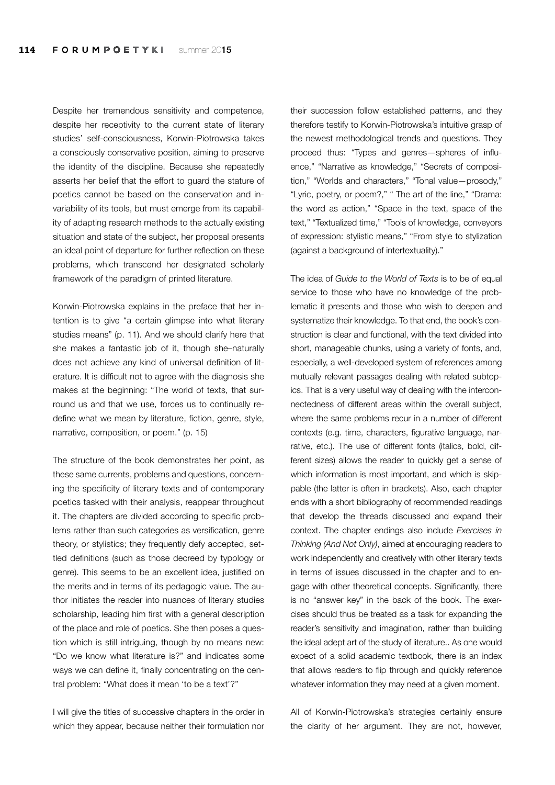Despite her tremendous sensitivity and competence, despite her receptivity to the current state of literary studies' self-consciousness, Korwin-Piotrowska takes a consciously conservative position, aiming to preserve the identity of the discipline. Because she repeatedly asserts her belief that the effort to guard the stature of poetics cannot be based on the conservation and invariability of its tools, but must emerge from its capability of adapting research methods to the actually existing situation and state of the subject, her proposal presents an ideal point of departure for further reflection on these problems, which transcend her designated scholarly framework of the paradigm of printed literature.

Korwin-Piotrowska explains in the preface that her intention is to give "a certain glimpse into what literary studies means" (p. 11). And we should clarify here that she makes a fantastic job of it, though she–naturally does not achieve any kind of universal definition of literature. It is difficult not to agree with the diagnosis she makes at the beginning: "The world of texts, that surround us and that we use, forces us to continually redefine what we mean by literature, fiction, genre, style, narrative, composition, or poem." (p. 15)

The structure of the book demonstrates her point, as these same currents, problems and questions, concerning the specificity of literary texts and of contemporary poetics tasked with their analysis, reappear throughout it. The chapters are divided according to specific problems rather than such categories as versification, genre theory, or stylistics; they frequently defy accepted, settled definitions (such as those decreed by typology or genre). This seems to be an excellent idea, justified on the merits and in terms of its pedagogic value. The author initiates the reader into nuances of literary studies scholarship, leading him first with a general description of the place and role of poetics. She then poses a question which is still intriguing, though by no means new: "Do we know what literature is?" and indicates some ways we can define it, finally concentrating on the central problem: "What does it mean 'to be a text'?"

I will give the titles of successive chapters in the order in which they appear, because neither their formulation nor their succession follow established patterns, and they therefore testify to Korwin-Piotrowska's intuitive grasp of the newest methodological trends and questions. They proceed thus: "Types and genres—spheres of influence," "Narrative as knowledge," "Secrets of composition," "Worlds and characters," "Tonal value—prosody," "Lyric, poetry, or poem?," " The art of the line," "Drama: the word as action," "Space in the text, space of the text," "Textualized time," "Tools of knowledge, conveyors of expression: stylistic means," "From style to stylization (against a background of intertextuality)."

The idea of *Guide to the World of Texts* is to be of equal service to those who have no knowledge of the problematic it presents and those who wish to deepen and systematize their knowledge. To that end, the book's construction is clear and functional, with the text divided into short, manageable chunks, using a variety of fonts, and, especially, a well-developed system of references among mutually relevant passages dealing with related subtopics. That is a very useful way of dealing with the interconnectedness of different areas within the overall subject, where the same problems recur in a number of different contexts (e.g. time, characters, figurative language, narrative, etc.). The use of different fonts (italics, bold, different sizes) allows the reader to quickly get a sense of which information is most important, and which is skippable (the latter is often in brackets). Also, each chapter ends with a short bibliography of recommended readings that develop the threads discussed and expand their context. The chapter endings also include *Exercises in Thinking (And Not Only)*, aimed at encouraging readers to work independently and creatively with other literary texts in terms of issues discussed in the chapter and to engage with other theoretical concepts. Significantly, there is no "answer key" in the back of the book. The exercises should thus be treated as a task for expanding the reader's sensitivity and imagination, rather than building the ideal adept art of the study of literature.. As one would expect of a solid academic textbook, there is an index that allows readers to flip through and quickly reference whatever information they may need at a given moment.

All of Korwin-Piotrowska's strategies certainly ensure the clarity of her argument. They are not, however,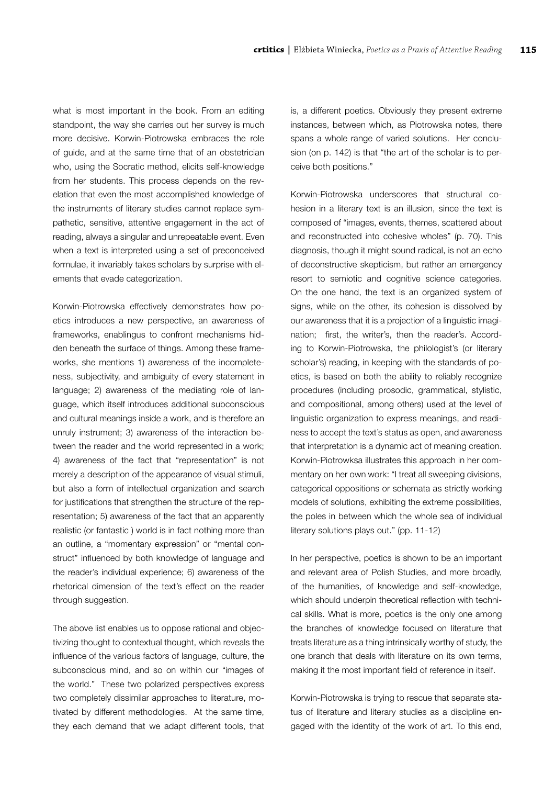what is most important in the book. From an editing standpoint, the way she carries out her survey is much more decisive. Korwin-Piotrowska embraces the role of guide, and at the same time that of an obstetrician who, using the Socratic method, elicits self-knowledge from her students. This process depends on the revelation that even the most accomplished knowledge of the instruments of literary studies cannot replace sympathetic, sensitive, attentive engagement in the act of reading, always a singular and unrepeatable event. Even when a text is interpreted using a set of preconceived formulae, it invariably takes scholars by surprise with elements that evade categorization.

Korwin-Piotrowska effectively demonstrates how poetics introduces a new perspective, an awareness of frameworks, enablingus to confront mechanisms hidden beneath the surface of things. Among these frameworks, she mentions 1) awareness of the incompleteness, subjectivity, and ambiguity of every statement in language; 2) awareness of the mediating role of language, which itself introduces additional subconscious and cultural meanings inside a work, and is therefore an unruly instrument; 3) awareness of the interaction between the reader and the world represented in a work; 4) awareness of the fact that "representation" is not merely a description of the appearance of visual stimuli, but also a form of intellectual organization and search for justifications that strengthen the structure of the representation; 5) awareness of the fact that an apparently realistic (or fantastic ) world is in fact nothing more than an outline, a "momentary expression" or "mental construct" influenced by both knowledge of language and the reader's individual experience; 6) awareness of the rhetorical dimension of the text's effect on the reader through suggestion.

The above list enables us to oppose rational and objectivizing thought to contextual thought, which reveals the influence of the various factors of language, culture, the subconscious mind, and so on within our "images of the world." These two polarized perspectives express two completely dissimilar approaches to literature, motivated by different methodologies. At the same time, they each demand that we adapt different tools, that is, a different poetics. Obviously they present extreme instances, between which, as Piotrowska notes, there spans a whole range of varied solutions. Her conclusion (on p. 142) is that "the art of the scholar is to perceive both positions."

Korwin-Piotrowska underscores that structural cohesion in a literary text is an illusion, since the text is composed of "images, events, themes, scattered about and reconstructed into cohesive wholes" (p. 70). This diagnosis, though it might sound radical, is not an echo of deconstructive skepticism, but rather an emergency resort to semiotic and cognitive science categories. On the one hand, the text is an organized system of signs, while on the other, its cohesion is dissolved by our awareness that it is a projection of a linguistic imagination; first, the writer's, then the reader's. According to Korwin-Piotrowska, the philologist's (or literary scholar's) reading, in keeping with the standards of poetics, is based on both the ability to reliably recognize procedures (including prosodic, grammatical, stylistic, and compositional, among others) used at the level of linguistic organization to express meanings, and readiness to accept the text's status as open, and awareness that interpretation is a dynamic act of meaning creation. Korwin-Piotrowksa illustrates this approach in her commentary on her own work: "I treat all sweeping divisions, categorical oppositions or schemata as strictly working models of solutions, exhibiting the extreme possibilities, the poles in between which the whole sea of individual literary solutions plays out." (pp. 11-12)

In her perspective, poetics is shown to be an important and relevant area of Polish Studies, and more broadly, of the humanities, of knowledge and self-knowledge, which should underpin theoretical reflection with technical skills. What is more, poetics is the only one among the branches of knowledge focused on literature that treats literature as a thing intrinsically worthy of study, the one branch that deals with literature on its own terms, making it the most important field of reference in itself.

Korwin-Piotrowska is trying to rescue that separate status of literature and literary studies as a discipline engaged with the identity of the work of art. To this end,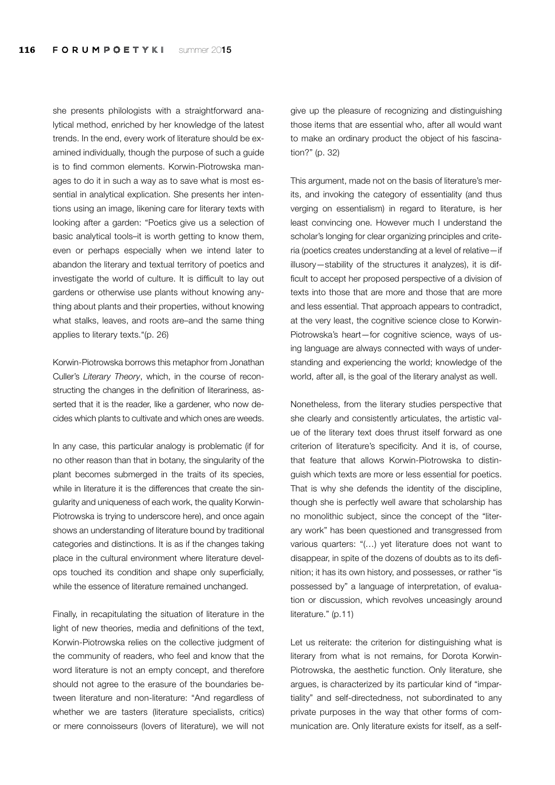she presents philologists with a straightforward analytical method, enriched by her knowledge of the latest trends. In the end, every work of literature should be examined individually, though the purpose of such a guide is to find common elements. Korwin-Piotrowska manages to do it in such a way as to save what is most essential in analytical explication. She presents her intentions using an image, likening care for literary texts with looking after a garden: "Poetics give us a selection of basic analytical tools–it is worth getting to know them, even or perhaps especially when we intend later to abandon the literary and textual territory of poetics and investigate the world of culture. It is difficult to lay out gardens or otherwise use plants without knowing anything about plants and their properties, without knowing what stalks, leaves, and roots are–and the same thing applies to literary texts."(p. 26)

Korwin-Piotrowska borrows this metaphor from Jonathan Culler's *Literary Theory*, which, in the course of reconstructing the changes in the definition of literariness, asserted that it is the reader, like a gardener, who now decides which plants to cultivate and which ones are weeds.

In any case, this particular analogy is problematic (if for no other reason than that in botany, the singularity of the plant becomes submerged in the traits of its species, while in literature it is the differences that create the singularity and uniqueness of each work, the quality Korwin-Piotrowska is trying to underscore here), and once again shows an understanding of literature bound by traditional categories and distinctions. It is as if the changes taking place in the cultural environment where literature develops touched its condition and shape only superficially, while the essence of literature remained unchanged.

Finally, in recapitulating the situation of literature in the light of new theories, media and definitions of the text, Korwin-Piotrowska relies on the collective judgment of the community of readers, who feel and know that the word literature is not an empty concept, and therefore should not agree to the erasure of the boundaries between literature and non-literature: "And regardless of whether we are tasters (literature specialists, critics) or mere connoisseurs (lovers of literature), we will not give up the pleasure of recognizing and distinguishing those items that are essential who, after all would want to make an ordinary product the object of his fascination?" (p. 32)

This argument, made not on the basis of literature's merits, and invoking the category of essentiality (and thus verging on essentialism) in regard to literature, is her least convincing one. However much I understand the scholar's longing for clear organizing principles and criteria (poetics creates understanding at a level of relative—if illusory—stability of the structures it analyzes), it is difficult to accept her proposed perspective of a division of texts into those that are more and those that are more and less essential. That approach appears to contradict, at the very least, the cognitive science close to Korwin-Piotrowska's heart—for cognitive science, ways of using language are always connected with ways of understanding and experiencing the world; knowledge of the world, after all, is the goal of the literary analyst as well.

Nonetheless, from the literary studies perspective that she clearly and consistently articulates, the artistic value of the literary text does thrust itself forward as one criterion of literature's specificity. And it is, of course, that feature that allows Korwin-Piotrowska to distinguish which texts are more or less essential for poetics. That is why she defends the identity of the discipline, though she is perfectly well aware that scholarship has no monolithic subject, since the concept of the "literary work" has been questioned and transgressed from various quarters: "(…) yet literature does not want to disappear, in spite of the dozens of doubts as to its definition; it has its own history, and possesses, or rather "is possessed by" a language of interpretation, of evaluation or discussion, which revolves unceasingly around literature." (p.11)

Let us reiterate: the criterion for distinguishing what is literary from what is not remains, for Dorota Korwin-Piotrowska, the aesthetic function. Only literature, she argues, is characterized by its particular kind of "impartiality" and self-directedness, not subordinated to any private purposes in the way that other forms of communication are. Only literature exists for itself, as a self-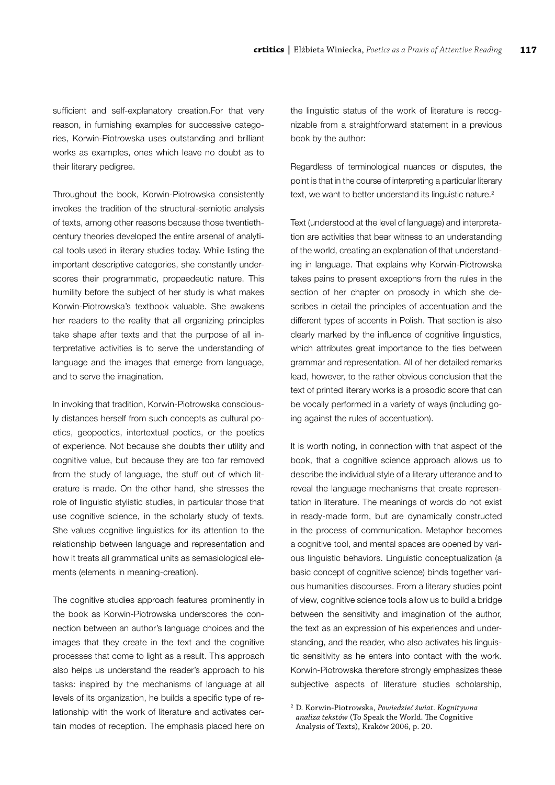sufficient and self-explanatory creation.For that very reason, in furnishing examples for successive categories, Korwin-Piotrowska uses outstanding and brilliant works as examples, ones which leave no doubt as to their literary pedigree.

Throughout the book, Korwin-Piotrowska consistently invokes the tradition of the structural-semiotic analysis of texts, among other reasons because those twentiethcentury theories developed the entire arsenal of analytical tools used in literary studies today. While listing the important descriptive categories, she constantly underscores their programmatic, propaedeutic nature. This humility before the subject of her study is what makes Korwin-Piotrowska's textbook valuable. She awakens her readers to the reality that all organizing principles take shape after texts and that the purpose of all interpretative activities is to serve the understanding of language and the images that emerge from language, and to serve the imagination.

In invoking that tradition, Korwin-Piotrowska consciously distances herself from such concepts as cultural poetics, geopoetics, intertextual poetics, or the poetics of experience. Not because she doubts their utility and cognitive value, but because they are too far removed from the study of language, the stuff out of which literature is made. On the other hand, she stresses the role of linguistic stylistic studies, in particular those that use cognitive science, in the scholarly study of texts. She values cognitive linguistics for its attention to the relationship between language and representation and how it treats all grammatical units as semasiological elements (elements in meaning-creation).

The cognitive studies approach features prominently in the book as Korwin-Piotrowska underscores the connection between an author's language choices and the images that they create in the text and the cognitive processes that come to light as a result. This approach also helps us understand the reader's approach to his tasks: inspired by the mechanisms of language at all levels of its organization, he builds a specific type of relationship with the work of literature and activates certain modes of reception. The emphasis placed here on the linguistic status of the work of literature is recognizable from a straightforward statement in a previous book by the author:

Regardless of terminological nuances or disputes, the point is that in the course of interpreting a particular literary text, we want to better understand its linguistic nature.<sup>2</sup>

Text (understood at the level of language) and interpretation are activities that bear witness to an understanding of the world, creating an explanation of that understanding in language. That explains why Korwin-Piotrowska takes pains to present exceptions from the rules in the section of her chapter on prosody in which she describes in detail the principles of accentuation and the different types of accents in Polish. That section is also clearly marked by the influence of cognitive linguistics, which attributes great importance to the ties between grammar and representation. All of her detailed remarks lead, however, to the rather obvious conclusion that the text of printed literary works is a prosodic score that can be vocally performed in a variety of ways (including going against the rules of accentuation).

It is worth noting, in connection with that aspect of the book, that a cognitive science approach allows us to describe the individual style of a literary utterance and to reveal the language mechanisms that create representation in literature. The meanings of words do not exist in ready-made form, but are dynamically constructed in the process of communication. Metaphor becomes a cognitive tool, and mental spaces are opened by various linguistic behaviors. Linguistic conceptualization (a basic concept of cognitive science) binds together various humanities discourses. From a literary studies point of view, cognitive science tools allow us to build a bridge between the sensitivity and imagination of the author, the text as an expression of his experiences and understanding, and the reader, who also activates his linguistic sensitivity as he enters into contact with the work. Korwin-Piotrowska therefore strongly emphasizes these subjective aspects of literature studies scholarship,

<sup>2</sup> D. Korwin-Piotrowska, *Powiedzieć świat. Kognitywna analiza tekstów* (To Speak the World. The Cognitive Analysis of Texts), Kraków 2006, p. 20.